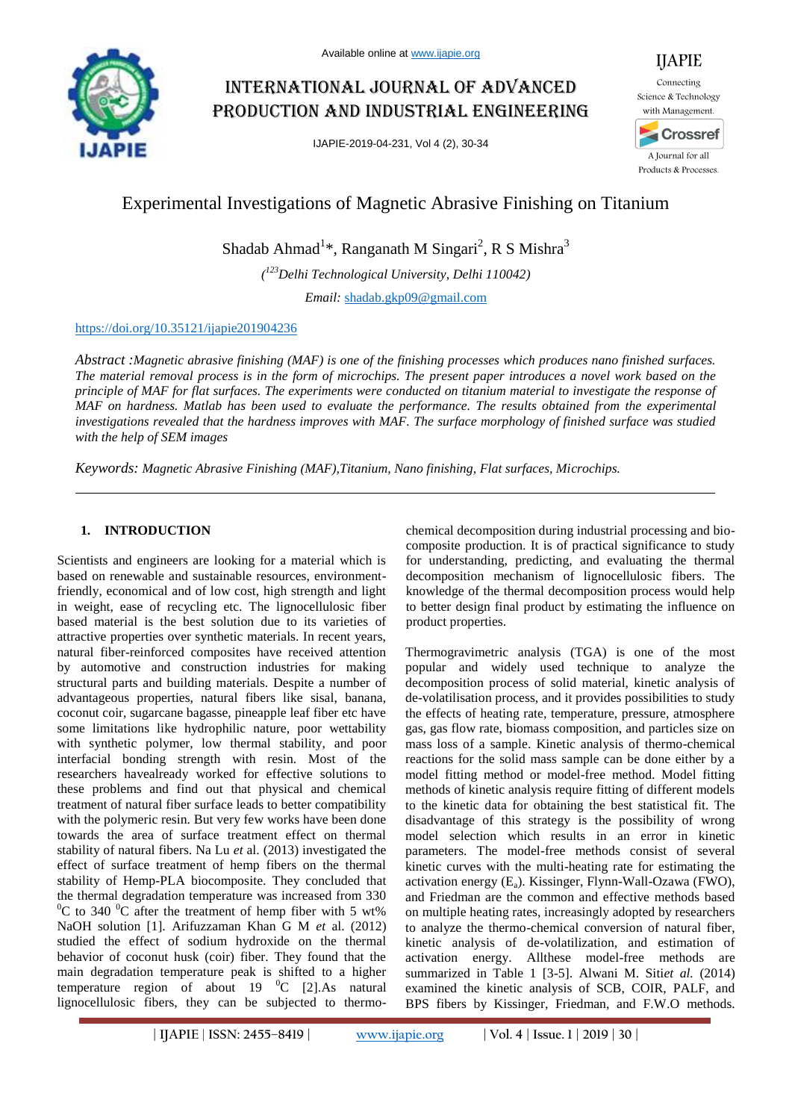

# International journal of advanced production and industrial engineering

IJAPIE-2019-04-231, Vol 4 (2), 30-34



## Experimental Investigations of Magnetic Abrasive Finishing on Titanium

Shadab Ahmad<sup>1</sup>\*, Ranganath M Singari<sup>2</sup>, R S Mishra<sup>3</sup>

*( <sup>123</sup>Delhi Technological University, Delhi 110042)*

*Email:* shadab.gkp09@gmail.com

### https://doi.org/10.35121/ijapie201904236

*Abstract :Magnetic abrasive finishing (MAF) is one of the finishing processes which produces nano finished surfaces. The material removal process is in the form of microchips. The present paper introduces a novel work based on the principle of MAF for flat surfaces. The experiments were conducted on titanium material to investigate the response of MAF on hardness. Matlab has been used to evaluate the performance. The results obtained from the experimental investigations revealed that the hardness improves with MAF. The surface morphology of finished surface was studied with the help of SEM images*

*Keywords: Magnetic Abrasive Finishing (MAF),Titanium, Nano finishing, Flat surfaces, Microchips.*

## **1. INTRODUCTION**

Scientists and engineers are looking for a material which is based on renewable and sustainable resources, environmentfriendly, economical and of low cost, high strength and light in weight, ease of recycling etc. The lignocellulosic fiber based material is the best solution due to its varieties of attractive properties over synthetic materials. In recent years, natural fiber-reinforced composites have received attention by automotive and construction industries for making structural parts and building materials. Despite a number of advantageous properties, natural fibers like sisal, banana, coconut coir, sugarcane bagasse, pineapple leaf fiber etc have some limitations like hydrophilic nature, poor wettability with synthetic polymer, low thermal stability, and poor interfacial bonding strength with resin. Most of the researchers havealready worked for effective solutions to these problems and find out that physical and chemical treatment of natural fiber surface leads to better compatibility with the polymeric resin. But very few works have been done towards the area of surface treatment effect on thermal stability of natural fibers. Na Lu *et* al. (2013) investigated the effect of surface treatment of hemp fibers on the thermal stability of Hemp-PLA biocomposite. They concluded that the thermal degradation temperature was increased from 330 <sup>0</sup>C to 340<sup>o</sup>C after the treatment of hemp fiber with 5 wt% NaOH solution [1]. Arifuzzaman Khan G M *et* al. (2012) studied the effect of sodium hydroxide on the thermal behavior of coconut husk (coir) fiber. They found that the main degradation temperature peak is shifted to a higher temperature region of about 19  $^0C$  [2].As natural lignocellulosic fibers, they can be subjected to thermochemical decomposition during industrial processing and biocomposite production. It is of practical significance to study for understanding, predicting, and evaluating the thermal decomposition mechanism of lignocellulosic fibers. The knowledge of the thermal decomposition process would help to better design final product by estimating the influence on product properties.

Thermogravimetric analysis (TGA) is one of the most popular and widely used technique to analyze the decomposition process of solid material, kinetic analysis of de-volatilisation process, and it provides possibilities to study the effects of heating rate, temperature, pressure, atmosphere gas, gas flow rate, biomass composition, and particles size on mass loss of a sample. Kinetic analysis of thermo-chemical reactions for the solid mass sample can be done either by a model fitting method or model-free method. Model fitting methods of kinetic analysis require fitting of different models to the kinetic data for obtaining the best statistical fit. The disadvantage of this strategy is the possibility of wrong model selection which results in an error in kinetic parameters. The model-free methods consist of several kinetic curves with the multi-heating rate for estimating the activation energy  $(E_a)$ . Kissinger, Flynn-Wall-Ozawa (FWO), and Friedman are the common and effective methods based on multiple heating rates, increasingly adopted by researchers to analyze the thermo-chemical conversion of natural fiber, kinetic analysis of de-volatilization, and estimation of activation energy. Allthese model-free methods are summarized in Table 1 [3-5]. Alwani M. Siti*et al.* (2014) examined the kinetic analysis of SCB, COIR, PALF, and BPS fibers by Kissinger, Friedman, and F.W.O methods.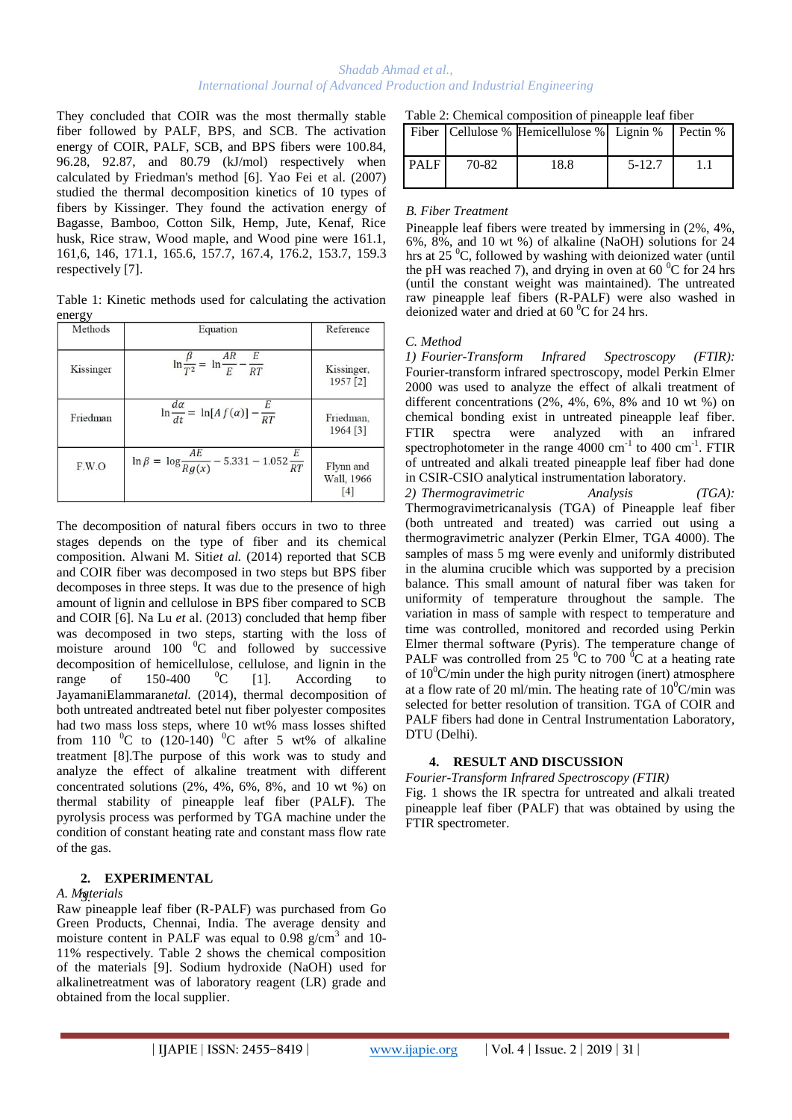#### *Shadab Ahmad et al., International Journal of Advanced Production and Industrial Engineering*

They concluded that COIR was the most thermally stable fiber followed by PALF, BPS, and SCB. The activation energy of COIR, PALF, SCB, and BPS fibers were 100.84, 96.28, 92.87, and 80.79 (kJ/mol) respectively when calculated by Friedman's method [6]. Yao Fei et al. (2007) studied the thermal decomposition kinetics of 10 types of fibers by Kissinger. They found the activation energy of Bagasse, Bamboo, Cotton Silk, Hemp, Jute, Kenaf, Rice husk, Rice straw, Wood maple, and Wood pine were 161.1, 161,6, 146, 171.1, 165.6, 157.7, 167.4, 176.2, 153.7, 159.3 respectively [7].

Table 1: Kinetic methods used for calculating the activation energy

| Methods   | Equation                                                        | Reference                                  |
|-----------|-----------------------------------------------------------------|--------------------------------------------|
| Kissinger | $\ln \frac{\beta}{T^2} = \ln \frac{AR}{E} - \frac{E}{RT}$       | Kissinger,<br>1957 [2]                     |
| Friedman  | $\ln \frac{d\alpha}{dt} = \ln[A f(\alpha)] - \frac{E}{RT}$      | Friedman,<br>1964 [3]                      |
| F.W.O     | $\ln \beta = \ln \frac{AE}{Rg(x)} - 5.331 - 1.052 \frac{E}{RT}$ | Flynn and<br>Wall, 1966<br>$\vert 4 \vert$ |

The decomposition of natural fibers occurs in two to three stages depends on the type of fiber and its chemical composition. Alwani M. Siti*et al.* (2014) reported that SCB and COIR fiber was decomposed in two steps but BPS fiber decomposes in three steps. It was due to the presence of high amount of lignin and cellulose in BPS fiber compared to SCB and COIR [6]. Na Lu *et* al. (2013) concluded that hemp fiber was decomposed in two steps, starting with the loss of moisture around 100  $^{0}$ C and followed by successive decomposition of hemicellulose, cellulose, and lignin in the range of  $150-400$  <sup>0</sup>C [1]. According to JayamaniElammaran*etal.* (2014), thermal decomposition of both untreated andtreated betel nut fiber polyester composites had two mass loss steps, where 10 wt% mass losses shifted from 110  $\mathrm{^0C}$  to (120-140)  $\mathrm{^0C}$  after 5 wt% of alkaline treatment [8].The purpose of this work was to study and analyze the effect of alkaline treatment with different concentrated solutions (2%, 4%, 6%, 8%, and 10 wt %) on thermal stability of pineapple leaf fiber (PALF). The pyrolysis process was performed by TGA machine under the condition of constant heating rate and constant mass flow rate of the gas.

#### **2. EXPERIMENTAL**

#### *A. Materials* 3.

Raw pineapple leaf fiber (R-PALF) was purchased from Go Green Products, Chennai, India. The average density and moisture content in PALF was equal to  $0.98$  g/cm<sup>3</sup> and 10-11% respectively. Table 2 shows the chemical composition of the materials [9]. Sodium hydroxide (NaOH) used for alkalinetreatment was of laboratory reagent (LR) grade and obtained from the local supplier.

| Table 2: Chemical composition of pineapple leaf fiber |  |  |
|-------------------------------------------------------|--|--|
|-------------------------------------------------------|--|--|

|             |       | Fiber   Cellulose % Hemicellulose %   Lignin %   Pectin % |            |  |
|-------------|-------|-----------------------------------------------------------|------------|--|
| <b>PALF</b> | 70-82 | 18.8                                                      | $5 - 12.7$ |  |

#### *B. Fiber Treatment*

Pineapple leaf fibers were treated by immersing in  $(2\%, 4\%, 4\%)$ 6%, 8%, and 10 wt %) of alkaline (NaOH) solutions for 24 hrs at  $25\,^0C$ , followed by washing with deionized water (until the pH was reached 7), and drying in oven at 60 $\mathrm{^{0}C}$  for 24 hrs (until the constant weight was maintained). The untreated raw pineapple leaf fibers (R-PALF) were also washed in deionized water and dried at  $60^{\circ}$ C for 24 hrs.

#### *C. Method*

*1) Fourier-Transform Infrared Spectroscopy (FTIR):*  Fourier-transform infrared spectroscopy, model Perkin Elmer 2000 was used to analyze the effect of alkali treatment of different concentrations (2%, 4%, 6%, 8% and 10 wt %) on chemical bonding exist in untreated pineapple leaf fiber. FTIR spectra were analyzed with an infrared spectrophotometer in the range  $4000 \text{ cm}^{-1}$  to  $400 \text{ cm}^{-1}$ . FTIR of untreated and alkali treated pineapple leaf fiber had done in CSIR-CSIO analytical instrumentation laboratory.

*2) Thermogravimetric Analysis (TGA):*  Thermogravimetricanalysis (TGA) of Pineapple leaf fiber (both untreated and treated) was carried out using a thermogravimetric analyzer (Perkin Elmer, TGA 4000). The samples of mass 5 mg were evenly and uniformly distributed in the alumina crucible which was supported by a precision balance. This small amount of natural fiber was taken for uniformity of temperature throughout the sample. The variation in mass of sample with respect to temperature and time was controlled, monitored and recorded using Perkin Elmer thermal software (Pyris). The temperature change of PALF was controlled from 25  $\mathrm{^0C}$  to 700  $\mathrm{^0C}$  at a heating rate of  $10^0$ C/min under the high purity nitrogen (inert) atmosphere at a flow rate of 20 ml/min. The heating rate of  $10^0$ C/min was selected for better resolution of transition. TGA of COIR and PALF fibers had done in Central Instrumentation Laboratory, DTU (Delhi).

## **4. RESULT AND DISCUSSION**

*Fourier-Transform Infrared Spectroscopy (FTIR)* Fig. 1 shows the IR spectra for untreated and alkali treated pineapple leaf fiber (PALF) that was obtained by using the FTIR spectrometer.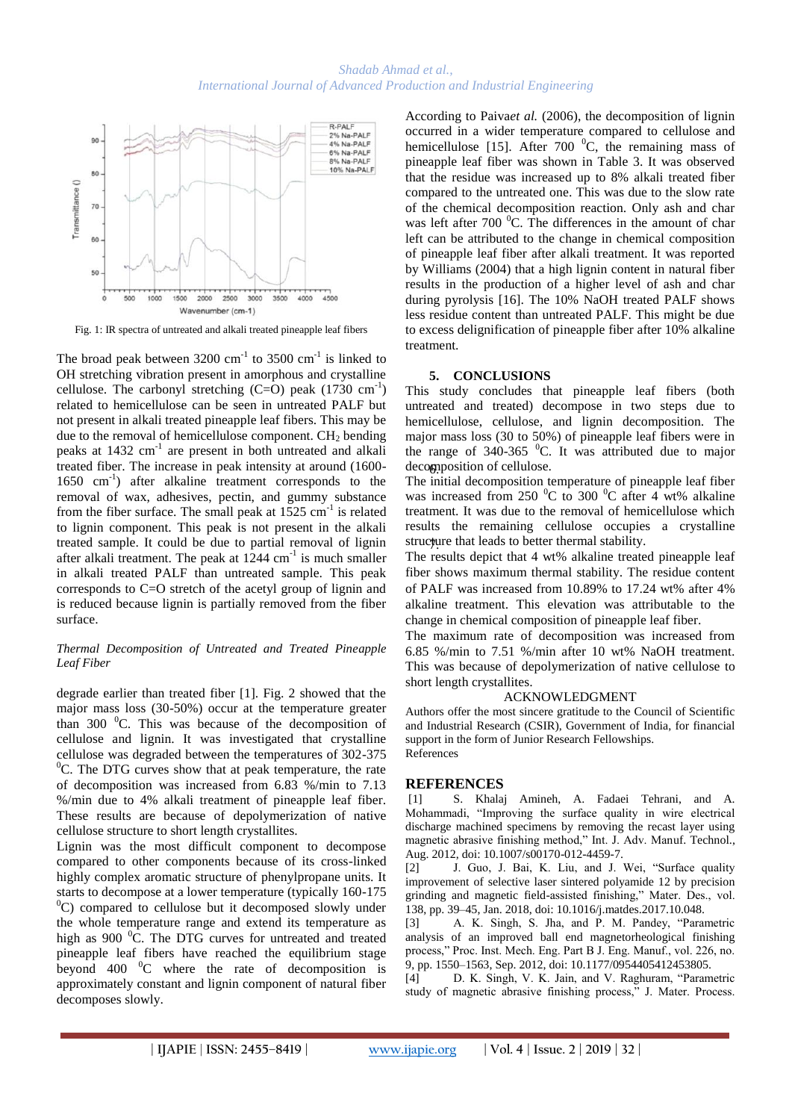

Fig. 1: IR spectra of untreated and alkali treated pineapple leaf fibers

The broad peak between  $3200 \text{ cm}^{-1}$  to  $3500 \text{ cm}^{-1}$  is linked to OH stretching vibration present in amorphous and crystalline cellulose. The carbonyl stretching  $(C=O)$  peak  $(1730 \text{ cm}^{-1})$ related to hemicellulose can be seen in untreated PALF but not present in alkali treated pineapple leaf fibers. This may be due to the removal of hemicellulose component.  $CH<sub>2</sub>$  bending peaks at 1432 cm<sup>-1</sup> are present in both untreated and alkali treated fiber. The increase in peak intensity at around (1600- 1650 cm-1 ) after alkaline treatment corresponds to the removal of wax, adhesives, pectin, and gummy substance from the fiber surface. The small peak at  $1525 \text{ cm}^{-1}$  is related to lignin component. This peak is not present in the alkali treated sample. It could be due to partial removal of lignin after alkali treatment. The peak at  $1244 \text{ cm}^{-1}$  is much smaller in alkali treated PALF than untreated sample. This peak corresponds to C=O stretch of the acetyl group of lignin and is reduced because lignin is partially removed from the fiber surface.

#### *Thermal Decomposition of Untreated and Treated Pineapple Leaf Fiber*

degrade earlier than treated fiber [1]. Fig. 2 showed that the major mass loss (30-50%) occur at the temperature greater than 300  $\mathrm{^0C}$ . This was because of the decomposition of cellulose and lignin. It was investigated that crystalline cellulose was degraded between the temperatures of 302-375 <sup>0</sup>C. The DTG curves show that at peak temperature, the rate of decomposition was increased from 6.83 %/min to 7.13 %/min due to 4% alkali treatment of pineapple leaf fiber. These results are because of depolymerization of native cellulose structure to short length crystallites.

Lignin was the most difficult component to decompose compared to other components because of its cross-linked highly complex aromatic structure of phenylpropane units. It starts to decompose at a lower temperature (typically 160-175  $^{0}$ C) compared to cellulose but it decomposed slowly under the whole temperature range and extend its temperature as high as  $900<sup>0</sup>C$ . The DTG curves for untreated and treated pineapple leaf fibers have reached the equilibrium stage beyond  $400 \degree$ C where the rate of decomposition is approximately constant and lignin component of natural fiber decomposes slowly.

According to Paiva*et al.* (2006), the decomposition of lignin occurred in a wider temperature compared to cellulose and hemicellulose [15]. After 700  $^{\circ}$ C, the remaining mass of pineapple leaf fiber was shown in Table 3. It was observed that the residue was increased up to 8% alkali treated fiber compared to the untreated one. This was due to the slow rate of the chemical decomposition reaction. Only ash and char was left after  $700\degree$ C. The differences in the amount of char left can be attributed to the change in chemical composition of pineapple leaf fiber after alkali treatment. It was reported by Williams (2004) that a high lignin content in natural fiber results in the production of a higher level of ash and char during pyrolysis [16]. The 10% NaOH treated PALF shows less residue content than untreated PALF. This might be due to excess delignification of pineapple fiber after 10% alkaline treatment.

#### **5. CONCLUSIONS**

This study concludes that pineapple leaf fibers (both untreated and treated) decompose in two steps due to hemicellulose, cellulose, and lignin decomposition. The major mass loss (30 to 50%) of pineapple leaf fibers were in the range of  $340-365$  <sup>0</sup>C. It was attributed due to major decomposition of cellulose.

The initial decomposition temperature of pineapple leaf fiber was increased from 250  $\mathrm{^0C}$  to 300  $\mathrm{^0C}$  after 4 wt% alkaline treatment. It was due to the removal of hemicellulose which results the remaining cellulose occupies a crystalline structure that leads to better thermal stability.

The results depict that 4 wt% alkaline treated pineapple leaf fiber shows maximum thermal stability. The residue content of PALF was increased from 10.89% to 17.24 wt% after 4% alkaline treatment. This elevation was attributable to the change in chemical composition of pineapple leaf fiber.

The maximum rate of decomposition was increased from 6.85 %/min to 7.51 %/min after 10 wt% NaOH treatment. This was because of depolymerization of native cellulose to short length crystallites.

#### ACKNOWLEDGMENT

Authors offer the most sincere gratitude to the Council of Scientific and Industrial Research (CSIR), Government of India, for financial support in the form of Junior Research Fellowships. References

#### **REFERENCES**

[1] S. Khalaj Amineh, A. Fadaei Tehrani, and A. Mohammadi, "Improving the surface quality in wire electrical discharge machined specimens by removing the recast layer using magnetic abrasive finishing method," Int. J. Adv. Manuf. Technol., Aug. 2012, doi: 10.1007/s00170-012-4459-7.

[2] J. Guo, J. Bai, K. Liu, and J. Wei, "Surface quality improvement of selective laser sintered polyamide 12 by precision grinding and magnetic field-assisted finishing," Mater. Des., vol. 138, pp. 39–45, Jan. 2018, doi: 10.1016/j.matdes.2017.10.048.

[3] A. K. Singh, S. Jha, and P. M. Pandey, "Parametric analysis of an improved ball end magnetorheological finishing process," Proc. Inst. Mech. Eng. Part B J. Eng. Manuf., vol. 226, no. 9, pp. 1550–1563, Sep. 2012, doi: 10.1177/0954405412453805.

[4] D. K. Singh, V. K. Jain, and V. Raghuram, "Parametric study of magnetic abrasive finishing process," J. Mater. Process.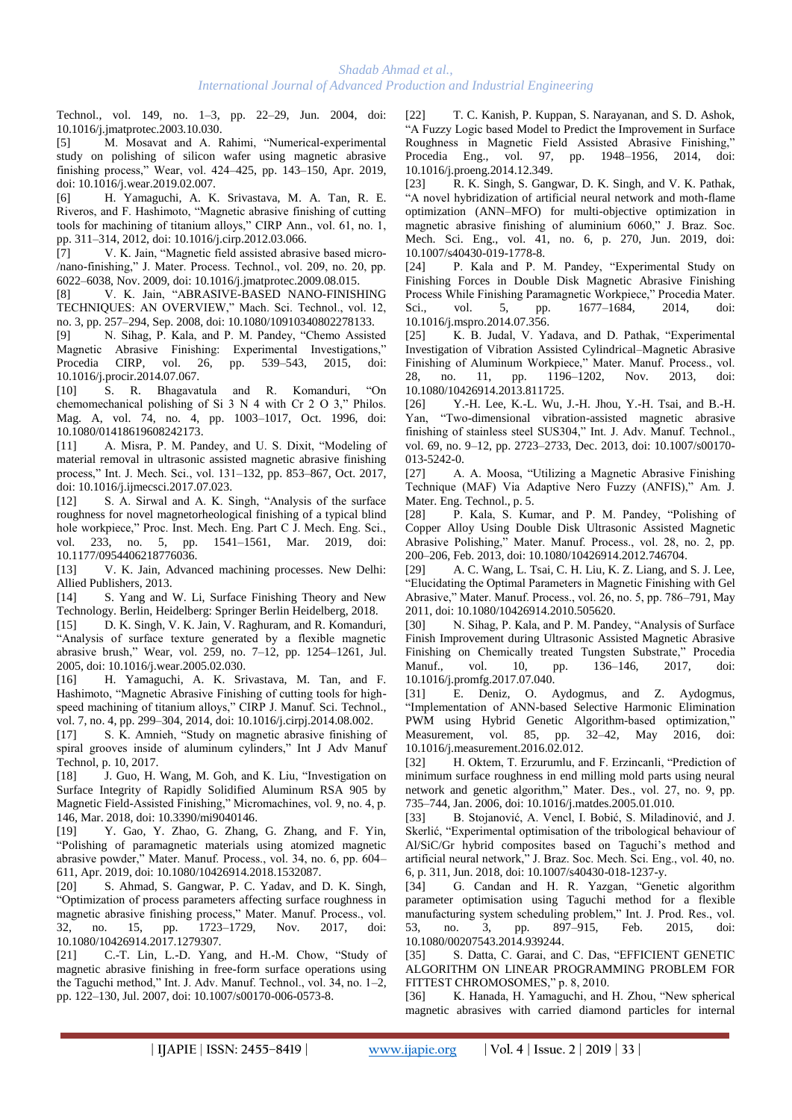Technol., vol. 149, no. 1–3, pp. 22–29, Jun. 2004, doi: 10.1016/j.jmatprotec.2003.10.030.

[5] M. Mosavat and A. Rahimi, "Numerical-experimental study on polishing of silicon wafer using magnetic abrasive finishing process," Wear, vol. 424–425, pp. 143–150, Apr. 2019, doi: 10.1016/j.wear.2019.02.007.

[6] H. Yamaguchi, A. K. Srivastava, M. A. Tan, R. E. Riveros, and F. Hashimoto, "Magnetic abrasive finishing of cutting tools for machining of titanium alloys," CIRP Ann., vol. 61, no. 1, pp. 311–314, 2012, doi: 10.1016/j.cirp.2012.03.066.

[7] V. K. Jain, "Magnetic field assisted abrasive based micro- /nano-finishing," J. Mater. Process. Technol., vol. 209, no. 20, pp. 6022–6038, Nov. 2009, doi: 10.1016/j.jmatprotec.2009.08.015.

[8] V. K. Jain, "ABRASIVE-BASED NANO-FINISHING TECHNIQUES: AN OVERVIEW," Mach. Sci. Technol., vol. 12, no. 3, pp. 257–294, Sep. 2008, doi: 10.1080/10910340802278133.

[9] N. Sihag, P. Kala, and P. M. Pandey, "Chemo Assisted Magnetic Abrasive Finishing: Experimental Investigations," Procedia CIRP, vol. 26, pp. 539–543, 2015, doi: 10.1016/j.procir.2014.07.067.

[10] S. R. Bhagavatula and R. Komanduri, "On chemomechanical polishing of Si 3 N 4 with Cr 2 O 3," Philos. Mag. A, vol. 74, no. 4, pp. 1003–1017, Oct. 1996, doi: 10.1080/01418619608242173.

[11] A. Misra, P. M. Pandey, and U. S. Dixit, "Modeling of material removal in ultrasonic assisted magnetic abrasive finishing process," Int. J. Mech. Sci., vol. 131–132, pp. 853–867, Oct. 2017, doi: 10.1016/j.ijmecsci.2017.07.023.

[12] S. A. Sirwal and A. K. Singh, "Analysis of the surface roughness for novel magnetorheological finishing of a typical blind hole workpiece," Proc. Inst. Mech. Eng. Part C J. Mech. Eng. Sci., vol. 233, no. 5, pp. 1541–1561, Mar. 2019, doi: 10.1177/0954406218776036.

[13] V. K. Jain, Advanced machining processes. New Delhi: Allied Publishers, 2013.

[14] S. Yang and W. Li, Surface Finishing Theory and New Technology. Berlin, Heidelberg: Springer Berlin Heidelberg, 2018.

[15] D. K. Singh, V. K. Jain, V. Raghuram, and R. Komanduri, "Analysis of surface texture generated by a flexible magnetic abrasive brush," Wear, vol. 259, no. 7–12, pp. 1254–1261, Jul. 2005, doi: 10.1016/j.wear.2005.02.030.

[16] H. Yamaguchi, A. K. Srivastava, M. Tan, and F. Hashimoto, "Magnetic Abrasive Finishing of cutting tools for highspeed machining of titanium alloys," CIRP J. Manuf. Sci. Technol., vol. 7, no. 4, pp. 299–304, 2014, doi: 10.1016/j.cirpj.2014.08.002.

[17] S. K. Amnieh, "Study on magnetic abrasive finishing of spiral grooves inside of aluminum cylinders," Int J Adv Manuf Technol, p. 10, 2017.

[18] J. Guo, H. Wang, M. Goh, and K. Liu, "Investigation on Surface Integrity of Rapidly Solidified Aluminum RSA 905 by Magnetic Field-Assisted Finishing," Micromachines, vol. 9, no. 4, p. 146, Mar. 2018, doi: 10.3390/mi9040146.

[19] Y. Gao, Y. Zhao, G. Zhang, G. Zhang, and F. Yin, "Polishing of paramagnetic materials using atomized magnetic abrasive powder," Mater. Manuf. Process., vol. 34, no. 6, pp. 604– 611, Apr. 2019, doi: 10.1080/10426914.2018.1532087.

[20] S. Ahmad, S. Gangwar, P. C. Yadav, and D. K. Singh, "Optimization of process parameters affecting surface roughness in magnetic abrasive finishing process," Mater. Manuf. Process., vol. 32, no. 15, pp. 1723–1729, Nov. 2017, doi: 10.1080/10426914.2017.1279307.

[21] C.-T. Lin, L.-D. Yang, and H.-M. Chow, "Study of magnetic abrasive finishing in free-form surface operations using the Taguchi method," Int. J. Adv. Manuf. Technol., vol. 34, no. 1–2, pp. 122–130, Jul. 2007, doi: 10.1007/s00170-006-0573-8.

[22] T. C. Kanish, P. Kuppan, S. Narayanan, and S. D. Ashok, "A Fuzzy Logic based Model to Predict the Improvement in Surface Roughness in Magnetic Field Assisted Abrasive Finishing," Procedia Eng., vol. 97, pp. 1948–1956, 2014, doi: 10.1016/j.proeng.2014.12.349.

[23] R. K. Singh, S. Gangwar, D. K. Singh, and V. K. Pathak, "A novel hybridization of artificial neural network and moth-flame optimization (ANN–MFO) for multi-objective optimization in magnetic abrasive finishing of aluminium 6060," J. Braz. Soc. Mech. Sci. Eng., vol. 41, no. 6, p. 270, Jun. 2019, doi: 10.1007/s40430-019-1778-8.

[24] P. Kala and P. M. Pandey, "Experimental Study on Finishing Forces in Double Disk Magnetic Abrasive Finishing Process While Finishing Paramagnetic Workpiece," Procedia Mater. Sci., vol. 5, pp. 1677–1684, 2014, doi: 10.1016/j.mspro.2014.07.356.

[25] K. B. Judal, V. Yadava, and D. Pathak, "Experimental Investigation of Vibration Assisted Cylindrical–Magnetic Abrasive Finishing of Aluminum Workpiece," Mater. Manuf. Process., vol. 28, no. 11, pp. 1196–1202, Nov. 2013, doi: 10.1080/10426914.2013.811725.

[26] Y.-H. Lee, K.-L. Wu, J.-H. Jhou, Y.-H. Tsai, and B.-H. Yan, "Two-dimensional vibration-assisted magnetic abrasive finishing of stainless steel SUS304," Int. J. Adv. Manuf. Technol., vol. 69, no. 9–12, pp. 2723–2733, Dec. 2013, doi: 10.1007/s00170- 013-5242-0.

[27] A. A. Moosa, "Utilizing a Magnetic Abrasive Finishing Technique (MAF) Via Adaptive Nero Fuzzy (ANFIS)," Am. J. Mater. Eng. Technol., p. 5.

[28] P. Kala, S. Kumar, and P. M. Pandey, "Polishing of Copper Alloy Using Double Disk Ultrasonic Assisted Magnetic Abrasive Polishing," Mater. Manuf. Process., vol. 28, no. 2, pp. 200–206, Feb. 2013, doi: 10.1080/10426914.2012.746704.

[29] A. C. Wang, L. Tsai, C. H. Liu, K. Z. Liang, and S. J. Lee, "Elucidating the Optimal Parameters in Magnetic Finishing with Gel Abrasive," Mater. Manuf. Process., vol. 26, no. 5, pp. 786–791, May 2011, doi: 10.1080/10426914.2010.505620.

[30] N. Sihag, P. Kala, and P. M. Pandey, "Analysis of Surface Finish Improvement during Ultrasonic Assisted Magnetic Abrasive Finishing on Chemically treated Tungsten Substrate," Procedia Manuf., vol. 10, pp. 136-146, 2017, doi: Manuf., vol. 10, pp. 136–146, 2017, doi: 10.1016/j.promfg.2017.07.040.

[31] E. Deniz, O. Aydogmus, and Z. Aydogmus, "Implementation of ANN-based Selective Harmonic Elimination PWM using Hybrid Genetic Algorithm-based optimization," Measurement, vol. 85, pp. 32–42, May 2016, doi: 10.1016/j.measurement.2016.02.012.

[32] H. Oktem, T. Erzurumlu, and F. Erzincanli, "Prediction of minimum surface roughness in end milling mold parts using neural network and genetic algorithm," Mater. Des., vol. 27, no. 9, pp. 735–744, Jan. 2006, doi: 10.1016/j.matdes.2005.01.010.

[33] B. Stojanović, A. Vencl, I. Bobić, S. Miladinović, and J. Skerlić, "Experimental optimisation of the tribological behaviour of Al/SiC/Gr hybrid composites based on Taguchi's method and artificial neural network," J. Braz. Soc. Mech. Sci. Eng., vol. 40, no. 6, p. 311, Jun. 2018, doi: 10.1007/s40430-018-1237-y.

[34] G. Candan and H. R. Yazgan, "Genetic algorithm parameter optimisation using Taguchi method for a flexible manufacturing system scheduling problem," Int. J. Prod. Res., vol. 53, no. 3, pp. 897–915, Feb. 2015, doi: 10.1080/00207543.2014.939244.

[35] S. Datta, C. Garai, and C. Das, "EFFICIENT GENETIC ALGORITHM ON LINEAR PROGRAMMING PROBLEM FOR FITTEST CHROMOSOMES," p. 8, 2010.

[36] K. Hanada, H. Yamaguchi, and H. Zhou, "New spherical magnetic abrasives with carried diamond particles for internal